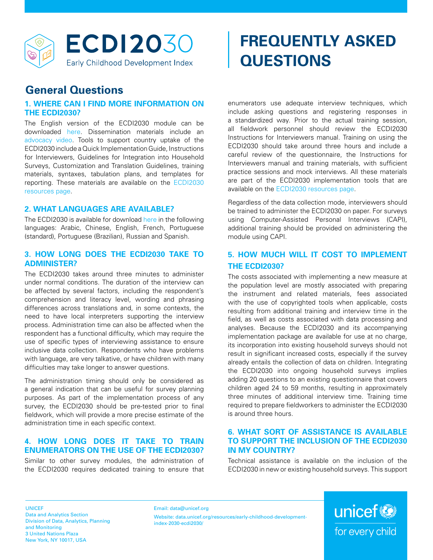

# **FREQUENTLY ASKED QUESTIONS**

# **General Questions**

### **1. WHERE CAN I FIND MORE INFORMATION ON THE ECDI2030?**

The English version of the ECDI2030 module can be downloaded [here.](https://data.unicef.org/resources/early-childhood-development-index-2030-ecdi2030/) Dissemination materials include an [advocacy video](https://youtu.be/5U4TJ5qBsZ0). Tools to support country uptake of the ECDI2030 include a Quick Implementation Guide, Instructions for Interviewers, Guidelines for Integration into Household Surveys, Customization and Translation Guidelines, training materials, syntaxes, tabulation plans, and templates for reporting. These materials are available on the [ECDI2030](https://data.unicef.org/resources/early-childhood-development-index-2030-ecdi2030/) [resources page.](https://data.unicef.org/resources/early-childhood-development-index-2030-ecdi2030/)

## **2. WHAT LANGUAGES ARE AVAILABLE?**

The ECDI2030 is available for download [here](https://data.unicef.org/resources/early-childhood-development-index-2030-ecdi2030/) in the following languages: Arabic, Chinese, English, French, Portuguese (standard), Portuguese (Brazilian), Russian and Spanish.

#### **3. HOW LONG DOES THE ECDI2030 TAKE TO ADMINISTER?**

The ECDI2030 takes around three minutes to administer under normal conditions. The duration of the interview can be affected by several factors, including the respondent's comprehension and literacy level, wording and phrasing differences across translations and, in some contexts, the need to have local interpreters supporting the interview process. Administration time can also be affected when the respondent has a functional difficulty, which may require the use of specific types of interviewing assistance to ensure inclusive data collection. Respondents who have problems with language, are very talkative, or have children with many difficulties may take longer to answer questions.

The administration timing should only be considered as a general indication that can be useful for survey planning purposes. As part of the implementation process of any survey, the ECDI2030 should be pre-tested prior to final fieldwork, which will provide a more precise estimate of the administration time in each specific context.

# **4. HOW LONG DOES IT TAKE TO TRAIN ENUMERATORS ON THE USE OF THE ECDI2030?**

Similar to other survey modules, the administration of the ECDI2030 requires dedicated training to ensure that enumerators use adequate interview techniques, which include asking questions and registering responses in a standardized way. Prior to the actual training session, all fieldwork personnel should review the ECDI2030 Instructions for Interviewers manual. Training on using the ECDI2030 should take around three hours and include a careful review of the questionnaire, the Instructions for Interviewers manual and training materials, with sufficient practice sessions and mock interviews. All these materials are part of the ECDI2030 implementation tools that are available on the [ECDI2030 resources page.](https://data.unicef.org/resources/early-childhood-development-index-2030-ecdi2030/)

Regardless of the data collection mode, interviewers should be trained to administer the ECDI2030 on paper. For surveys using Computer-Assisted Personal Interviews (CAPI), additional training should be provided on administering the module using CAPI.

# **5. HOW MUCH WILL IT COST TO IMPLEMENT THE ECDI2030?**

The costs associated with implementing a new measure at the population level are mostly associated with preparing the instrument and related materials, fees associated with the use of copyrighted tools when applicable, costs resulting from additional training and interview time in the field, as well as costs associated with data processing and analyses. Because the ECDI2030 and its accompanying implementation package are available for use at no charge, its incorporation into existing household surveys should not result in significant increased costs, especially if the survey already entails the collection of data on children. Integrating the ECDI2030 into ongoing household surveys implies adding 20 questions to an existing questionnaire that covers children aged 24 to 59 months, resulting in approximately three minutes of additional interview time. Training time required to prepare fieldworkers to administer the ECDI2030 is around three hours.

#### **6. WHAT SORT OF ASSISTANCE IS AVAILABLE TO SUPPORT THE INCLUSION OF THE ECDI2030 IN MY COUNTRY?**

Technical assistance is available on the inclusion of the ECDI2030 in new or existing household surveys. This support

UNICEF Data and Analytics Section Division of Data, Analytics, Planning and Monitoring 3 United Nations Plaza New York, NY 10017, USA

Email: data@unicef.org Website: [data.unicef.org/resources/early-childhood-development](data.unicef.org/resources/early-childhood-development-index-2030-ecdi2030/)[index-2030-ecdi2030/](data.unicef.org/resources/early-childhood-development-index-2030-ecdi2030/)

unicef<sup>®</sup> for every child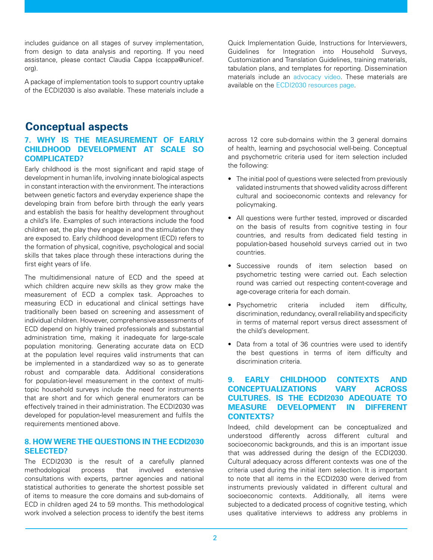includes guidance on all stages of survey implementation, from design to data analysis and reporting. If you need assistance, please contact Claudia Cappa (ccappa@unicef. org).

A package of implementation tools to support country uptake of the ECDI2030 is also available. These materials include a

Quick Implementation Guide, Instructions for Interviewers, Guidelines for Integration into Household Surveys, Customization and Translation Guidelines, training materials, tabulation plans, and templates for reporting. Dissemination materials include an [advocacy video.](https://youtu.be/5U4TJ5qBsZ0) These materials are available on the [ECDI2030 resources page.](https://data.unicef.org/resources/early-childhood-development-index-2030-ecdi2030/)

# **Conceptual aspects**

#### **7. WHY IS THE MEASUREMENT OF EARLY CHILDHOOD DEVELOPMENT AT SCALE SO COMPLICATED?**

Early childhood is the most significant and rapid stage of development in human life, involving innate biological aspects in constant interaction with the environment. The interactions between genetic factors and everyday experience shape the developing brain from before birth through the early years and establish the basis for healthy development throughout a child's life. Examples of such interactions include the food children eat, the play they engage in and the stimulation they are exposed to. Early childhood development (ECD) refers to the formation of physical, cognitive, psychological and social skills that takes place through these interactions during the first eight years of life.

The multidimensional nature of ECD and the speed at which children acquire new skills as they grow make the measurement of ECD a complex task. Approaches to measuring ECD in educational and clinical settings have traditionally been based on screening and assessment of individual children. However, comprehensive assessments of ECD depend on highly trained professionals and substantial administration time, making it inadequate for large-scale population monitoring. Generating accurate data on ECD at the population level requires valid instruments that can be implemented in a standardized way so as to generate robust and comparable data. Additional considerations for population-level measurement in the context of multitopic household surveys include the need for instruments that are short and for which general enumerators can be effectively trained in their administration. The ECDI2030 was developed for population-level measurement and fulfils the requirements mentioned above.

#### **8. HOW WERE THE QUESTIONS IN THE ECDI2030 SELECTED?**

The ECDI2030 is the result of a carefully planned methodological process that involved extensive consultations with experts, partner agencies and national statistical authorities to generate the shortest possible set of items to measure the core domains and sub-domains of ECD in children aged 24 to 59 months. This methodological work involved a selection process to identify the best items

across 12 core sub-domains within the 3 general domains of health, learning and psychosocial well-being. Conceptual and psychometric criteria used for item selection included the following:

- The initial pool of questions were selected from previously validated instruments that showed validity across different cultural and socioeconomic contexts and relevancy for policymaking.
- All questions were further tested, improved or discarded on the basis of results from cognitive testing in four countries, and results from dedicated field testing in population-based household surveys carried out in two countries.
- Successive rounds of item selection based on psychometric testing were carried out. Each selection round was carried out respecting content-coverage and age-coverage criteria for each domain.
- Psychometric criteria included item difficulty, discrimination, redundancy, overall reliability and specificity in terms of maternal report versus direct assessment of the child's development.
- Data from a total of 36 countries were used to identify the best questions in terms of item difficulty and discrimination criteria.

#### **9. EARLY CHILDHOOD CONTEXTS AND CONCEPTUALIZATIONS VARY ACROSS CULTURES. IS THE ECDI2030 ADEQUATE TO MEASURE DEVELOPMENT IN DIFFERENT CONTEXTS?**

Indeed, child development can be conceptualized and understood differently across different cultural and socioeconomic backgrounds, and this is an important issue that was addressed during the design of the ECDI2030. Cultural adequacy across different contexts was one of the criteria used during the initial item selection. It is important to note that all items in the ECDI2030 were derived from instruments previously validated in different cultural and socioeconomic contexts. Additionally, all items were subjected to a dedicated process of cognitive testing, which uses qualitative interviews to address any problems in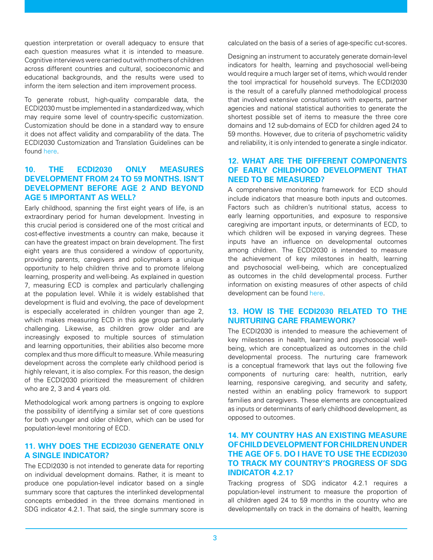question interpretation or overall adequacy to ensure that each question measures what it is intended to measure. Cognitive interviews were carried out with mothers of children across different countries and cultural, socioeconomic and educational backgrounds, and the results were used to inform the item selection and item improvement process.

To generate robust, high-quality comparable data, the ECDI2030 must be implemented in a standardized way, which may require some level of country-specific customization. Customization should be done in a standard way to ensure it does not affect validity and comparability of the data. The ECDI2030 Customization and Translation Guidelines can be found [here.](https://data.unicef.org/resources/early-childhood-development-index-2030-ecdi2030/)

#### **10. THE ECDI2030 ONLY MEASURES DEVELOPMENT FROM 24 TO 59 MONTHS. ISN'T DEVELOPMENT BEFORE AGE 2 AND BEYOND AGE 5 IMPORTANT AS WELL?**

Early childhood, spanning the first eight years of life, is an extraordinary period for human development. Investing in this crucial period is considered one of the most critical and cost-effective investments a country can make, because it can have the greatest impact on brain development. The first eight years are thus considered a window of opportunity, providing parents, caregivers and policymakers a unique opportunity to help children thrive and to promote lifelong learning, prosperity and well-being. As explained in question 7, measuring ECD is complex and particularly challenging at the population level. While it is widely established that development is fluid and evolving, the pace of development is especially accelerated in children younger than age 2, which makes measuring ECD in this age group particularly challenging. Likewise, as children grow older and are increasingly exposed to multiple sources of stimulation and learning opportunities, their abilities also become more complex and thus more difficult to measure. While measuring development across the complete early childhood period is highly relevant, it is also complex. For this reason, the design of the ECDI2030 prioritized the measurement of children who are 2, 3 and 4 years old.

Methodological work among partners is ongoing to explore the possibility of identifying a similar set of core questions for both younger and older children, which can be used for population-level monitoring of ECD.

#### **11. WHY DOES THE ECDI2030 GENERATE ONLY A SINGLE INDICATOR?**

The ECDI2030 is not intended to generate data for reporting on individual development domains. Rather, it is meant to produce one population-level indicator based on a single summary score that captures the interlinked developmental concepts embedded in the three domains mentioned in SDG indicator 4.2.1. That said, the single summary score is

calculated on the basis of a series of age-specific cut-scores.

Designing an instrument to accurately generate domain-level indicators for health, learning and psychosocial well-being would require a much larger set of items, which would render the tool impractical for household surveys. The ECDI2030 is the result of a carefully planned methodological process that involved extensive consultations with experts, partner agencies and national statistical authorities to generate the shortest possible set of items to measure the three core domains and 12 sub-domains of ECD for children aged 24 to 59 months. However, due to criteria of psychometric validity and reliability, it is only intended to generate a single indicator.

#### **12. WHAT ARE THE DIFFERENT COMPONENTS OF EARLY CHILDHOOD DEVELOPMENT THAT NEED TO BE MEASURED?**

A comprehensive monitoring framework for ECD should include indicators that measure both inputs and outcomes. Factors such as children's nutritional status, access to early learning opportunities, and exposure to responsive caregiving are important inputs, or determinants of ECD, to which children will be exposed in varying degrees. These inputs have an influence on developmental outcomes among children. The ECDI2030 is intended to measure the achievement of key milestones in health, learning and psychosocial well-being, which are conceptualized as outcomes in the child developmental process. Further information on existing measures of other aspects of child development can be found [here](https://data.unicef.org/indicator-profile/).

#### **13. HOW IS THE ECDI2030 RELATED TO THE NURTURING CARE FRAMEWORK?**

The ECDI2030 is intended to measure the achievement of key milestones in health, learning and psychosocial wellbeing, which are conceptualized as outcomes in the child developmental process. The nurturing care framework is a conceptual framework that lays out the following five components of nurturing care: health, nutrition, early learning, responsive caregiving, and security and safety, nested within an enabling policy framework to support families and caregivers. These elements are conceptualized as inputs or determinants of early childhood development, as opposed to outcomes.

#### **14. MY COUNTRY HAS AN EXISTING MEASURE OF CHILD DEVELOPMENT FOR CHILDREN UNDER THE AGE OF 5. DO I HAVE TO USE THE ECDI2030 TO TRACK MY COUNTRY'S PROGRESS OF SDG INDICATOR 4.2.1?**

Tracking progress of SDG indicator 4.2.1 requires a population-level instrument to measure the proportion of all children aged 24 to 59 months in the country who are developmentally on track in the domains of health, learning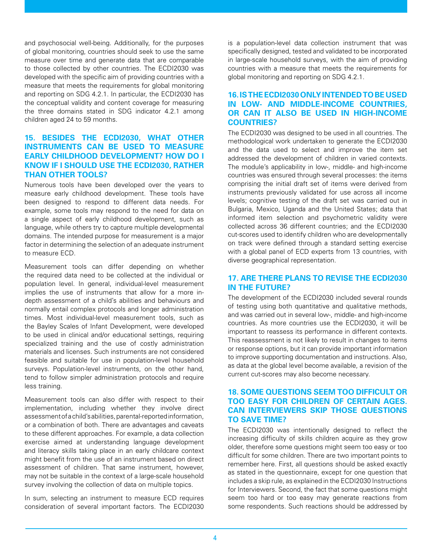and psychosocial well-being. Additionally, for the purposes of global monitoring, countries should seek to use the same measure over time and generate data that are comparable to those collected by other countries. The ECDI2030 was developed with the specific aim of providing countries with a measure that meets the requirements for global monitoring and reporting on SDG 4.2.1. In particular, the ECDI2030 has the conceptual validity and content coverage for measuring the three domains stated in SDG indicator 4.2.1 among children aged 24 to 59 months.

#### **15. BESIDES THE ECDI2030, WHAT OTHER INSTRUMENTS CAN BE USED TO MEASURE EARLY CHILDHOOD DEVELOPMENT? HOW DO I KNOW IF I SHOULD USE THE ECDI2030, RATHER THAN OTHER TOOLS?**

Numerous tools have been developed over the years to measure early childhood development. These tools have been designed to respond to different data needs. For example, some tools may respond to the need for data on a single aspect of early childhood development, such as language, while others try to capture multiple developmental domains. The intended purpose for measurement is a major factor in determining the selection of an adequate instrument to measure ECD.

Measurement tools can differ depending on whether the required data need to be collected at the individual or population level. In general, individual-level measurement implies the use of instruments that allow for a more indepth assessment of a child's abilities and behaviours and normally entail complex protocols and longer administration times. Most individual-level measurement tools, such as the Bayley Scales of Infant Development, were developed to be used in clinical and/or educational settings, requiring specialized training and the use of costly administration materials and licenses. Such instruments are not considered feasible and suitable for use in population-level household surveys. Population-level instruments, on the other hand, tend to follow simpler administration protocols and require less training.

Measurement tools can also differ with respect to their implementation, including whether they involve direct assessment of a child's abilities, parental-reported information, or a combination of both. There are advantages and caveats to these different approaches. For example, a data collection exercise aimed at understanding language development and literacy skills taking place in an early childcare context might benefit from the use of an instrument based on direct assessment of children. That same instrument, however, may not be suitable in the context of a large-scale household survey involving the collection of data on multiple topics.

In sum, selecting an instrument to measure ECD requires consideration of several important factors. The ECDI2030 is a population-level data collection instrument that was specifically designed, tested and validated to be incorporated in large-scale household surveys, with the aim of providing countries with a measure that meets the requirements for global monitoring and reporting on SDG 4.2.1.

#### **16. IS THE ECDI2030 ONLY INTENDED TO BE USED IN LOW- AND MIDDLE-INCOME COUNTRIES, OR CAN IT ALSO BE USED IN HIGH-INCOME COUNTRIES?**

The ECDI2030 was designed to be used in all countries. The methodological work undertaken to generate the ECDI2030 and the data used to select and improve the item set addressed the development of children in varied contexts. The module's applicability in low-, middle- and high-income countries was ensured through several processes: the items comprising the initial draft set of items were derived from instruments previously validated for use across all income levels; cognitive testing of the draft set was carried out in Bulgaria, Mexico, Uganda and the United States; data that informed item selection and psychometric validity were collected across 36 different countries; and the ECDI2030 cut-scores used to identify children who are developmentally on track were defined through a standard setting exercise with a global panel of ECD experts from 13 countries, with diverse geographical representation.

#### **17. ARE THERE PLANS TO REVISE THE ECDI2030 IN THE FUTURE?**

The development of the ECDI2030 included several rounds of testing using both quantitative and qualitative methods, and was carried out in several low-, middle- and high-income countries. As more countries use the ECDI2030, it will be important to reassess its performance in different contexts. This reassessment is not likely to result in changes to items or response options, but it can provide important information to improve supporting documentation and instructions. Also, as data at the global level become available, a revision of the current cut-scores may also become necessary.

#### **18. SOME QUESTIONS SEEM TOO DIFFICULT OR TOO EASY FOR CHILDREN OF CERTAIN AGES. CAN INTERVIEWERS SKIP THOSE QUESTIONS TO SAVE TIME?**

The ECDI2030 was intentionally designed to reflect the increasing difficulty of skills children acquire as they grow older, therefore some questions might seem too easy or too difficult for some children. There are two important points to remember here. First, all questions should be asked exactly as stated in the questionnaire, except for one question that includes a skip rule, as explained in the ECDI2030 Instructions for Interviewers. Second, the fact that some questions might seem too hard or too easy may generate reactions from some respondents. Such reactions should be addressed by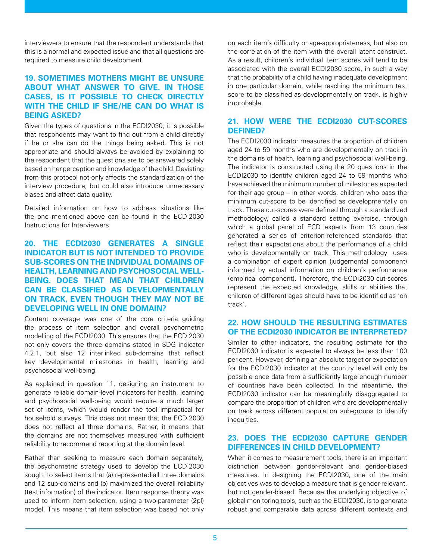interviewers to ensure that the respondent understands that this is a normal and expected issue and that all questions are required to measure child development.

#### **19. SOMETIMES MOTHERS MIGHT BE UNSURE ABOUT WHAT ANSWER TO GIVE. IN THOSE CASES, IS IT POSSIBLE TO CHECK DIRECTLY WITH THE CHILD IF SHE/HE CAN DO WHAT IS BEING ASKED?**

Given the types of questions in the ECDI2030, it is possible that respondents may want to find out from a child directly if he or she can do the things being asked. This is not appropriate and should always be avoided by explaining to the respondent that the questions are to be answered solely based on her perception and knowledge of the child. Deviating from this protocol not only affects the standardization of the interview procedure, but could also introduce unnecessary biases and affect data quality.

Detailed information on how to address situations like the one mentioned above can be found in the ECDI2030 Instructions for Interviewers.

#### **20. THE ECDI2030 GENERATES A SINGLE INDICATOR BUT IS NOT INTENDED TO PROVIDE SUB-SCORES ON THE INDIVIDUAL DOMAINS OF HEALTH, LEARNING AND PSYCHOSOCIAL WELL-BEING. DOES THAT MEAN THAT CHILDREN CAN BE CLASSIFIED AS DEVELOPMENTALLY ON TRACK, EVEN THOUGH THEY MAY NOT BE DEVELOPING WELL IN ONE DOMAIN?**

Content coverage was one of the core criteria guiding the process of item selection and overall psychometric modelling of the ECDI2030. This ensures that the ECDI2030 not only covers the three domains stated in SDG indicator 4.2.1, but also 12 interlinked sub-domains that reflect key developmental milestones in health, learning and psychosocial well-being.

As explained in question 11, designing an instrument to generate reliable domain-level indicators for health, learning and psychosocial well-being would require a much larger set of items, which would render the tool impractical for household surveys. This does not mean that the ECDI2030 does not reflect all three domains. Rather, it means that the domains are not themselves measured with sufficient reliability to recommend reporting at the domain level.

Rather than seeking to measure each domain separately, the psychometric strategy used to develop the ECDI2030 sought to select items that (a) represented all three domains and 12 sub-domains and (b) maximized the overall reliability (test information) of the indicator. Item response theory was used to inform item selection, using a two-parameter (2pl) model. This means that item selection was based not only on each item's difficulty or age-appropriateness, but also on the correlation of the item with the overall latent construct. As a result, children's individual item scores will tend to be associated with the overall ECDI2030 score, in such a way that the probability of a child having inadequate development in one particular domain, while reaching the minimum test score to be classified as developmentally on track, is highly improbable.

#### **21. HOW WERE THE ECDI2030 CUT-SCORES DEFINED?**

The ECDI2030 indicator measures the proportion of children aged 24 to 59 months who are developmentally on track in the domains of health, learning and psychosocial well-being. The indicator is constructed using the 20 questions in the ECDI2030 to identify children aged 24 to 59 months who have achieved the minimum number of milestones expected for their age group – in other words, children who pass the minimum cut-score to be identified as developmentally on track. These cut-scores were defined through a standardized methodology, called a standard setting exercise, through which a global panel of ECD experts from 13 countries generated a series of criterion-referenced standards that reflect their expectations about the performance of a child who is developmentally on track. This methodology uses a combination of expert opinion (judgemental component) informed by actual information on children's performance (empirical component). Therefore, the ECDI2030 cut-scores represent the expected knowledge, skills or abilities that children of different ages should have to be identified as 'on track'.

#### **22. HOW SHOULD THE RESULTING ESTIMATES OF THE ECDI2030 INDICATOR BE INTERPRETED?**

Similar to other indicators, the resulting estimate for the ECDI2030 indicator is expected to always be less than 100 per cent. However, defining an absolute target or expectation for the ECDI2030 indicator at the country level will only be possible once data from a sufficiently large enough number of countries have been collected. In the meantime, the ECDI2030 indicator can be meaningfully disaggregated to compare the proportion of children who are developmentally on track across different population sub-groups to identify inequities.

#### **23. DOES THE ECDI2030 CAPTURE GENDER DIFFERENCES IN CHILD DEVELOPMENT?**

When it comes to measurement tools, there is an important distinction between gender-relevant and gender-biased measures. In designing the ECDI2030, one of the main objectives was to develop a measure that is gender-relevant, but not gender-biased. Because the underlying objective of global monitoring tools, such as the ECDI2030, is to generate robust and comparable data across different contexts and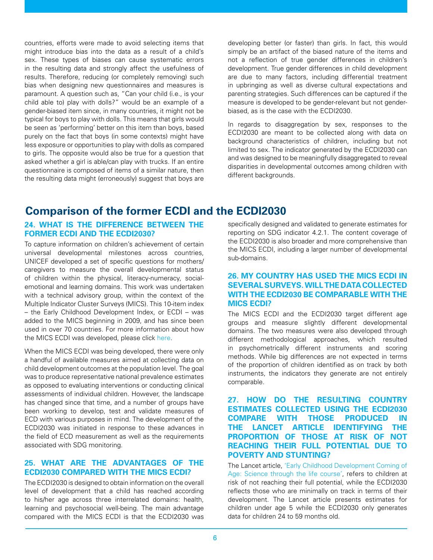countries, efforts were made to avoid selecting items that might introduce bias into the data as a result of a child's sex. These types of biases can cause systematic errors in the resulting data and strongly affect the usefulness of results. Therefore, reducing (or completely removing) such bias when designing new questionnaires and measures is paramount. A question such as, "Can your child (i.e., is your child able to) play with dolls?" would be an example of a gender-biased item since, in many countries, it might not be typical for boys to play with dolls. This means that girls would be seen as 'performing' better on this item than boys, based purely on the fact that boys (in some contexts) might have less exposure or opportunities to play with dolls as compared to girls. The opposite would also be true for a question that asked whether a girl is able/can play with trucks. If an entire questionnaire is composed of items of a similar nature, then the resulting data might (erroneously) suggest that boys are

developing better (or faster) than girls. In fact, this would simply be an artifact of the biased nature of the items and not a reflection of true gender differences in children's development. True gender differences in child development are due to many factors, including differential treatment in upbringing as well as diverse cultural expectations and parenting strategies. Such differences can be captured if the measure is developed to be gender-relevant but not genderbiased, as is the case with the ECDI2030.

In regards to disaggregation by sex, responses to the ECDI2030 are meant to be collected along with data on background characteristics of children, including but not limited to sex. The indicator generated by the ECDI2030 can and was designed to be meaningfully disaggregated to reveal disparities in developmental outcomes among children with different backgrounds.

# **Comparison of the former ECDI and the ECDI2030**

#### **24. WHAT IS THE DIFFERENCE BETWEEN THE FORMER ECDI AND THE ECDI2030?**

To capture information on children's achievement of certain universal developmental milestones across countries, UNICEF developed a set of specific questions for mothers/ caregivers to measure the overall developmental status of children within the physical, literacy-numeracy, socialemotional and learning domains. This work was undertaken with a technical advisory group, within the context of the Multiple Indicator Cluster Surveys (MICS). This 10-item index – the Early Childhood Development Index, or ECDI – was added to the MICS beginning in 2009, and has since been used in over 70 countries. For more information about how the MICS ECDI was developed, please click [here](http://mics.unicef.org/files?job=W1siZiIsIjIwMTcvMDkvMTUvMjEvMTUvNDMvMzc4L01JQ1NfTWV0aG9kb2xvZ2ljYWxfUGFwZXJfNi5wZGYiXV0&sha=85c096f0b2c5b0c8).

When the MICS ECDI was being developed, there were only a handful of available measures aimed at collecting data on child development outcomes at the population level. The goal was to produce representative national prevalence estimates as opposed to evaluating interventions or conducting clinical assessments of individual children. However, the landscape has changed since that time, and a number of groups have been working to develop, test and validate measures of ECD with various purposes in mind. The development of the ECDI2030 was initiated in response to these advances in the field of ECD measurement as well as the requirements associated with SDG monitoring.

### **25. WHAT ARE THE ADVANTAGES OF THE ECDI2030 COMPARED WITH THE MICS ECDI?**

The ECDI2030 is designed to obtain information on the overall level of development that a child has reached according to his/her age across three interrelated domains: health, learning and psychosocial well-being. The main advantage compared with the MICS ECDI is that the ECDI2030 was

specifically designed and validated to generate estimates for reporting on SDG indicator 4.2.1. The content coverage of the ECDI2030 is also broader and more comprehensive than the MICS ECDI, including a larger number of developmental sub-domains.

#### **26. MY COUNTRY HAS USED THE MICS ECDI IN SEVERAL SURVEYS. WILL THE DATA COLLECTED WITH THE ECDI2030 BE COMPARABLE WITH THE MICS ECDI?**

The MICS ECDI and the ECDI2030 target different age groups and measure slightly different developmental domains. The two measures were also developed through different methodological approaches, which resulted in psychometrically different instruments and scoring methods. While big differences are not expected in terms of the proportion of children identified as on track by both instruments, the indicators they generate are not entirely comparable.

**27. HOW DO THE RESULTING COUNTRY ESTIMATES COLLECTED USING THE ECDI2030 COMPARE WITH THOSE PRODUCED IN THE LANCET ARTICLE IDENTIFYING THE PROPORTION OF THOSE AT RISK OF NOT REACHING THEIR FULL POTENTIAL DUE TO POVERTY AND STUNTING?**

The Lancet article, ['Early Childhood Development Coming of](https://www.thelancet.com/journals/lancet/article/PIIS0140-6736(16)31389-7/fulltext) [Age: Science through the life course'](https://www.thelancet.com/journals/lancet/article/PIIS0140-6736(16)31389-7/fulltext), refers to children at risk of not reaching their full potential, while the ECDI2030 reflects those who are minimally on track in terms of their development. The Lancet article presents estimates for children under age 5 while the ECDI2030 only generates data for children 24 to 59 months old.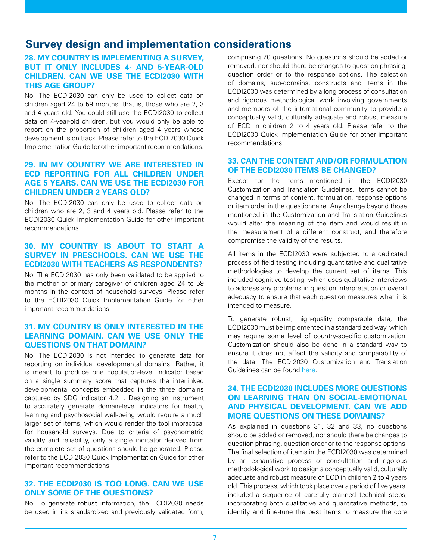# **Survey design and implementation considerations**

#### **28. MY COUNTRY IS IMPLEMENTING A SURVEY, BUT IT ONLY INCLUDES 4- AND 5-YEAR-OLD CHILDREN. CAN WE USE THE ECDI2030 WITH THIS AGE GROUP?**

No. The ECDI2030 can only be used to collect data on children aged 24 to 59 months, that is, those who are 2, 3 and 4 years old. You could still use the ECDI2030 to collect data on 4-year-old children, but you would only be able to report on the proportion of children aged 4 years whose development is on track. Please refer to the ECDI2030 Quick Implementation Guide for other important recommendations.

#### **29. IN MY COUNTRY WE ARE INTERESTED IN ECD REPORTING FOR ALL CHILDREN UNDER AGE 5 YEARS. CAN WE USE THE ECDI2030 FOR CHILDREN UNDER 2 YEARS OLD?**

No. The ECDI2030 can only be used to collect data on children who are 2, 3 and 4 years old. Please refer to the ECDI2030 Quick Implementation Guide for other important recommendations.

#### **30. MY COUNTRY IS ABOUT TO START A SURVEY IN PRESCHOOLS. CAN WE USE THE ECDI2030 WITH TEACHERS AS RESPONDENTS?**

No. The ECDI2030 has only been validated to be applied to the mother or primary caregiver of children aged 24 to 59 months in the context of household surveys. Please refer to the ECDI2030 Quick Implementation Guide for other important recommendations.

#### **31. MY COUNTRY IS ONLY INTERESTED IN THE LEARNING DOMAIN. CAN WE USE ONLY THE QUESTIONS ON THAT DOMAIN?**

No. The ECDI2030 is not intended to generate data for reporting on individual developmental domains. Rather, it is meant to produce one population-level indicator based on a single summary score that captures the interlinked developmental concepts embedded in the three domains captured by SDG indicator 4.2.1. Designing an instrument to accurately generate domain-level indicators for health, learning and psychosocial well-being would require a much larger set of items, which would render the tool impractical for household surveys. Due to criteria of psychometric validity and reliability, only a single indicator derived from the complete set of questions should be generated. Please refer to the ECDI2030 Quick Implementation Guide for other important recommendations.

#### **32. THE ECDI2030 IS TOO LONG. CAN WE USE ONLY SOME OF THE QUESTIONS?**

No. To generate robust information, the ECDI2030 needs be used in its standardized and previously validated form,

comprising 20 questions. No questions should be added or removed, nor should there be changes to question phrasing, question order or to the response options. The selection of domains, sub-domains, constructs and items in the ECDI2030 was determined by a long process of consultation and rigorous methodological work involving governments and members of the international community to provide a conceptually valid, culturally adequate and robust measure of ECD in children 2 to 4 years old. Please refer to the ECDI2030 Quick Implementation Guide for other important recommendations.

#### **33. CAN THE CONTENT AND/OR FORMULATION OF THE ECDI2030 ITEMS BE CHANGED?**

Except for the items mentioned in the ECDI2030 Customization and Translation Guidelines, items cannot be changed in terms of content, formulation, response options or item order in the questionnaire. Any change beyond those mentioned in the Customization and Translation Guidelines would alter the meaning of the item and would result in the measurement of a different construct, and therefore compromise the validity of the results.

All items in the ECDI2030 were subjected to a dedicated process of field testing including quantitative and qualitative methodologies to develop the current set of items. This included cognitive testing, which uses qualitative interviews to address any problems in question interpretation or overall adequacy to ensure that each question measures what it is intended to measure.

To generate robust, high-quality comparable data, the ECDI2030 must be implemented in a standardized way, which may require some level of country-specific customization. Customization should also be done in a standard way to ensure it does not affect the validity and comparability of the data. The ECDI2030 Customization and Translation Guidelines can be found [here.](https://data.unicef.org/resources/early-childhood-development-index-2030-ecdi2030/)

#### **34. THE ECDI2030 INCLUDES MORE QUESTIONS ON LEARNING THAN ON SOCIAL-EMOTIONAL AND PHYSICAL DEVELOPMENT. CAN WE ADD MORE QUESTIONS ON THESE DOMAINS?**

As explained in questions 31, 32 and 33, no questions should be added or removed, nor should there be changes to question phrasing, question order or to the response options. The final selection of items in the ECDI2030 was determined by an exhaustive process of consultation and rigorous methodological work to design a conceptually valid, culturally adequate and robust measure of ECD in children 2 to 4 years old. This process, which took place over a period of five years, included a sequence of carefully planned technical steps, incorporating both qualitative and quantitative methods, to identify and fine-tune the best items to measure the core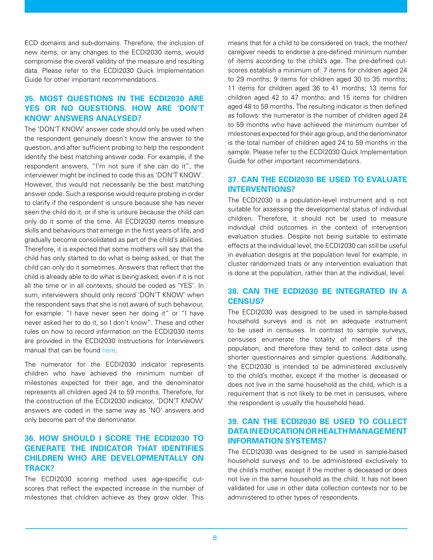ECD domains and sub-domains. Therefore, the inclusion of new items, or any changes to the ECDI2030 items, would compromise the overall validity of the measure and resulting data. Please refer to the ECDI2030 Quick Implementation Guide for other important recommendations.

## **35. MOST QUESTIONS IN THE ECDI2030 ARE YES OR NO QUESTIONS. HOW ARE 'DON'T KNOW' ANSWERS ANALYSED?**

The 'DON'T KNOW' answer code should only be used when the respondent genuinely doesn't know the answer to the question, and after sufficient probing to help the respondent identify the best matching answer code. For example, if the respondent answers, "I'm not sure if she can do it", the interviewer might be inclined to code this as 'DON'T KNOW'. However, this would not necessarily be the best matching answer code. Such a response would require probing in order to clarify if the respondent is unsure because she has never seen the child do it, or if she is unsure because the child can only do it some of the time. All ECDI2030 items measure skills and behaviours that emerge in the first years of life, and gradually become consolidated as part of the child's abilities. Therefore, it is expected that some mothers will say that the child has only started to do what is being asked, or that the child can only do it sometimes. Answers that reflect that the child is already able to do what is being asked, even if it is not all the time or in all contexts, should be coded as 'YES'. In sum, interviewers should only record 'DON'T KNOW' when the respondent says that she is not aware of such behaviour, for example: "I have never seen her doing it" or "I have never asked her to do it, so I don't know". These and other rules on how to record information on the ECDI2030 items are provided in the ECDI2030 Instructions for Interviewers manual that can be found [here.](https://data.unicef.org/resources/early-childhood-development-index-2030-ecdi2030/)

The numerator for the ECDI2030 indicator represents children who have achieved the minimum number of milestones expected for their age, and the denominator represents all children aged 24 to 59 months. Therefore, for the construction of the ECDI2030 indicator, 'DON'T KNOW' answers are coded in the same way as 'NO' answers and only become part of the denominator.

### **36. HOW SHOULD I SCORE THE ECDI2030 TO GENERATE THE INDICATOR THAT IDENTIFIES CHILDREN WHO ARE DEVELOPMENTALLY ON TRACK?**

The ECDI2030 scoring method uses age-specific cutscores that reflect the expected increase in the number of milestones that children achieve as they grow older. This

means that for a child to be considered on track, the mother/ caregiver needs to endorse a pre-defined minimum number of items according to the child's age. The pre-defined cutscores establish a minimum of: 7 items for children aged 24 to 29 months; 9 items for children aged 30 to 35 months; 11 items for children aged 36 to 41 months; 13 items for children aged 42 to 47 months; and 15 items for children aged 48 to 59 months. The resulting indicator is then defined as follows: the numerator is the number of children aged 24 to 59 months who have achieved the minimum number of milestones expected for their age group, and the denominator is the total number of children aged 24 to 59 months in the sample. Please refer to the ECDI2030 Quick Implementation Guide for other important recommendations.

#### **37. CAN THE ECDI2030 BE USED TO EVALUATE INTERVENTIONS?**

The ECDI2030 is a population-level instrument and is not suitable for assessing the developmental status of individual children. Therefore, it should not be used to measure individual child outcomes in the context of intervention evaluation studies. Despite not being suitable to estimate effects at the individual level, the ECDI2030 can still be useful in evaluation designs at the population level for example, in cluster randomized trials or any intervention evaluation that is done at the population, rather than at the individual, level.

#### **38. CAN THE ECDI2030 BE INTEGRATED IN A CENSUS?**

The ECDI2030 was designed to be used in sample-based household surveys and is not an adequate instrument to be used in censuses. In contrast to sample surveys, censuses enumerate the totality of members of the population, and therefore they tend to collect data using shorter questionnaires and simpler questions. Additionally, the ECDI2030 is intended to be administered exclusively to the child's mother, except if the mother is deceased or does not live in the same household as the child, which is a requirement that is not likely to be met in censuses, where the respondent is usually the household head.

### **39. CAN THE ECDI2030 BE USED TO COLLECT DATA IN EDUCATION OR HEALTH MANAGEMENT INFORMATION SYSTEMS?**

The ECDI2030 was designed to be used in sample-based household surveys and to be administered exclusively to the child's mother, except if the mother is deceased or does not live in the same household as the child. It has not been validated for use in other data collection contexts nor to be administered to other types of respondents.